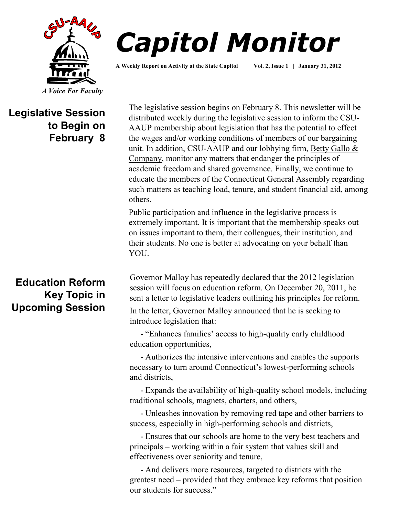



**A Weekly Report on Activity at the State Capitol Vol. 2, Issue 1 | January 31, 2012**

# **Legislative Session to Begin on February 8**

# **Education Reform Key Topic in Upcoming Session**

The legislative session begins on February 8. This newsletter will be distributed weekly during the legislative session to inform the CSU-AAUP membership about legislation that has the potential to effect the wages and/or working conditions of members of our bargaining unit. In addition, CSU-AAUP and our lobbying firm, Betty Gallo & [Company,](http://www.csuaaup.org/?page_id=115) monitor any matters that endanger the principles of academic freedom and shared governance. Finally, we continue to educate the members of the Connecticut General Assembly regarding such matters as teaching load, tenure, and student financial aid, among others.

Public participation and influence in the legislative process is extremely important. It is important that the membership speaks out on issues important to them, their colleagues, their institution, and their students. No one is better at advocating on your behalf than YOU.

Governor Malloy has repeatedly declared that the 2012 legislation session will focus on education reform. On December 20, 2011, he sent a letter to legislative leaders outlining his principles for reform.

In the letter, Governor Malloy announced that he is seeking to introduce legislation that:

 - "Enhances families' access to high-quality early childhood education opportunities,

 - Authorizes the intensive interventions and enables the supports necessary to turn around Connecticut's lowest-performing schools and districts,

 - Expands the availability of high-quality school models, including traditional schools, magnets, charters, and others,

 - Unleashes innovation by removing red tape and other barriers to success, especially in high-performing schools and districts,

 - Ensures that our schools are home to the very best teachers and principals – working within a fair system that values skill and effectiveness over seniority and tenure,

 - And delivers more resources, targeted to districts with the greatest need – provided that they embrace key reforms that position our students for success."